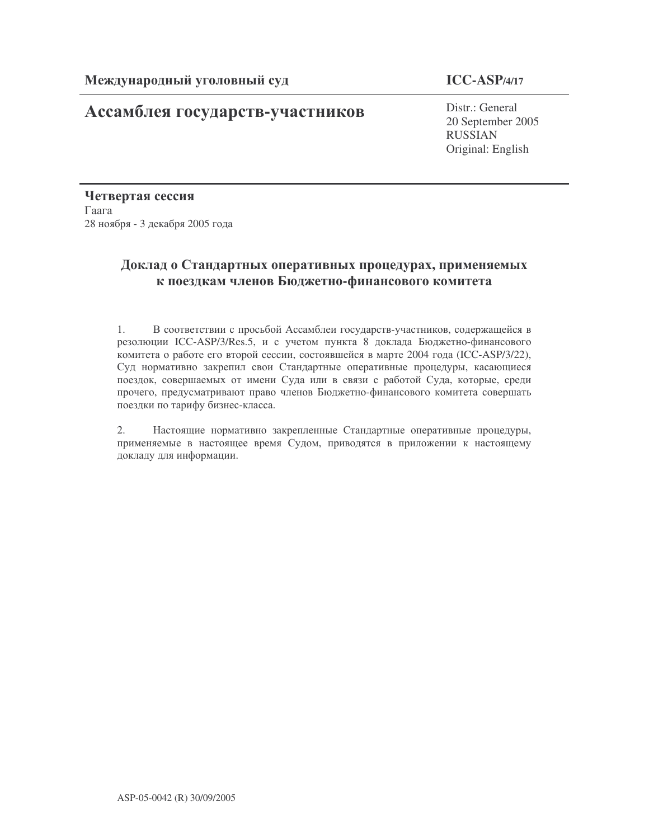# **Ассамблея государств-участников** Distr.: General

# **ICC-ASP/4/17**

20 September 2005 RUSSIAN Original: English

Четвертая сессия  $\Gamma$ аага 28 ноября - 3 декабря 2005 года

# Доклад о Стандартных оперативных процедурах, применяемых к поездкам членов Бюджетно-финансового комитета

1. В соответствии с просьбой Ассамблеи государств-участников, содержащейся в резолюции ICC-ASP/3/Res.5, и с учетом пункта 8 доклада Бюджетно-финансового комитета о работе его второй сессии, состоявшейся в марте 2004 года (ICC-ASP/3/22), Суд нормативно закрепил свои Стандартные оперативные процедуры, касающиеся поездок, совершаемых от имени Суда или в связи с работой Суда, которые, среди прочего, предусматривают право членов Бюджетно-финансового комитета совершать поездки по тарифу бизнес-класса.

2. Настоящие нормативно закрепленные Стандартные оперативные процедуры, применяемые в настоящее время Судом, приводятся в приложении к настоящему докладу для информации.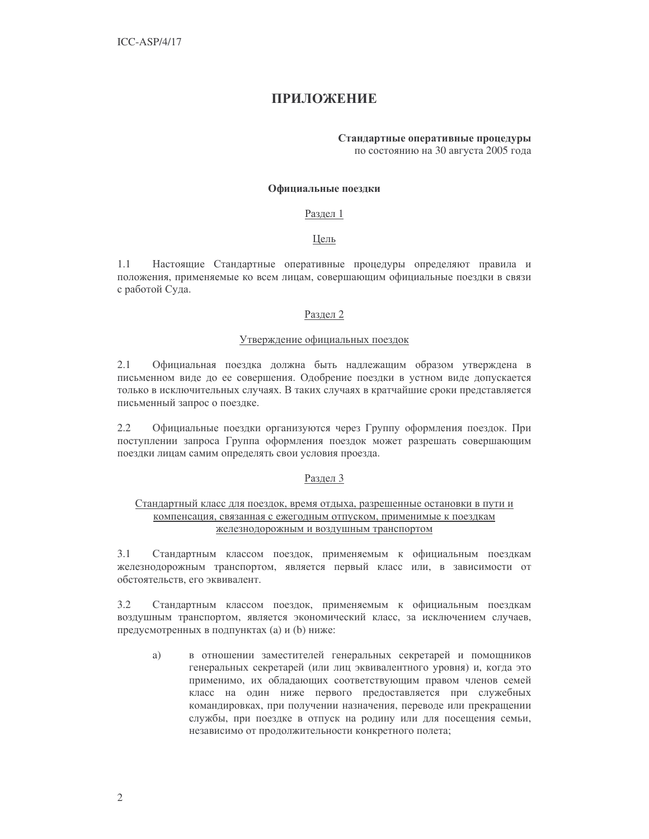# **ПРИЛОЖЕНИЕ**

# Стандартные оперативные процедуры

по состоянию на 30 августа 2005 года

#### Официальные поездки

#### Раздел 1

# Цель

 $1.1$ Настоящие Стандартные оперативные процедуры определяют правила и положения, применяемые ко всем лицам, совершающим официальные поездки в связи с работой Суда.

# Раздел 2

# Утверждение официальных поездок

 $2.1$ Официальная поездка должна быть надлежащим образом утверждена в письменном виде до ее совершения. Одобрение поездки в устном виде допускается только в исключительных случаях. В таких случаях в кратчайшие сроки представляется письменный запрос о поездке.

 $2.2$ Официальные поездки организуются через Группу оформления поездок. При поступлении запроса Группа оформления поездок может разрешать совершающим поездки лицам самим определять свои условия проезда.

#### Раздел 3

# Стандартный класс для поездок, время отдыха, разрешенные остановки в пути и компенсация, связанная с ежегодным отпуском, применимые к поездкам железнодорожным и воздушным транспортом

Стандартным классом поездок, применяемым к официальным поездкам  $3.1$ железнодорожным транспортом, является первый класс или, в зависимости от обстоятельств, его эквивалент.

Стандартным классом поездок, применяемым к официальным поездкам  $3.2$ воздушным транспортом, является экономический класс, за исключением случаев, предусмотренных в подпунктах (а) и (b) ниже:

в отношении заместителей генеральных секретарей и помощников a) генеральных секретарей (или лиц эквивалентного уровня) и, когда это применимо, их обладающих соответствующим правом членов семей класс на один ниже первого предоставляется при служебных командировках, при получении назначения, переводе или прекращении службы, при поездке в отпуск на родину или для посещения семьи, независимо от продолжительности конкретного полета;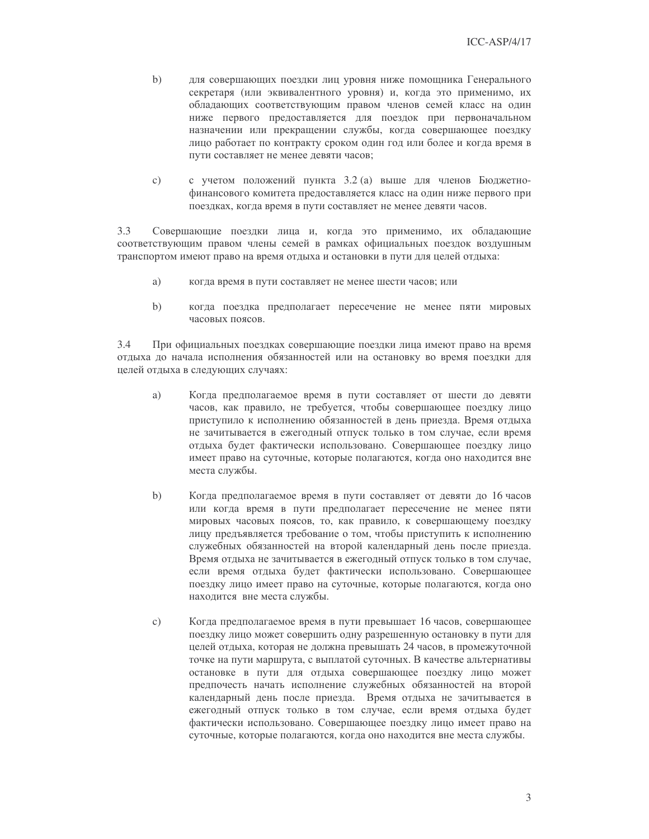- $b)$ для совершающих поездки лиц уровня ниже помощника Генерального секретаря (или эквивалентного уровня) и, когда это применимо, их обладающих соответствующим правом членов семей класс на один ниже первого предоставляется для поездок при первоначальном назначении или прекращении службы, когда совершающее поездку лицо работает по контракту сроком один год или более и когда время в пути составляет не менее девяти часов;
- с учетом положений пункта 3.2 (а) выше для членов Бюджетно- $\mathbf{c})$ финансового комитета предоставляется класс на один ниже первого при поездках, когда время в пути составляет не менее девяти часов.

 $3.3$ Совершающие поездки лица и, когда это применимо, их обладающие соответствующим правом члены семей в рамках официальных поездок воздушным транспортом имеют право на время отдыха и остановки в пути для целей отдыха:

- a) когда время в пути составляет не менее шести часов; или
- $b)$ когда поездка предполагает пересечение не менее пяти мировых часовых поясов.

 $3.4$ При официальных поездках совершающие поездки лица имеют право на время отдыха до начала исполнения обязанностей или на остановку во время поездки для целей отдыха в следующих случаях:

- Когда предполагаемое время в пути составляет от шести до девяти a) часов, как правило, не требуется, чтобы совершающее поездку лицо приступило к исполнению обязанностей в день приезда. Время отдыха не зачитывается в ежегодный отпуск только в том случае, если время отдыха будет фактически использовано. Совершающее поездку лицо имеет право на суточные, которые полагаются, когда оно находится вне места службы.
- $b)$ Когда предполагаемое время в пути составляет от девяти до 16 часов или когда время в пути предполагает пересечение не менее пяти мировых часовых поясов, то, как правило, к совершающему поездку лицу предъявляется требование о том, чтобы приступить к исполнению служебных обязанностей на второй календарный день после приезда. Время отдыха не зачитывается в ежегодный отпуск только в том случае, если время отдыха будет фактически использовано. Совершающее поездку лицо имеет право на суточные, которые полагаются, когда оно находится вне места службы.
- $\mathcal{C}$ ) Когда предполагаемое время в пути превышает 16 часов, совершающее поездку лицо может совершить одну разрешенную остановку в пути для целей отдыха, которая не должна превышать 24 часов, в промежуточной точке на пути маршрута, с выплатой суточных. В качестве альтернативы остановке в пути для отдыха совершающее поездку лицо может предпочесть начать исполнение служебных обязанностей на второй календарный день после приезда. Время отдыха не зачитывается в ежегодный отпуск только в том случае, если время отдыха будет фактически использовано. Совершающее поездку лицо имеет право на суточные, которые полагаются, когда оно находится вне места службы.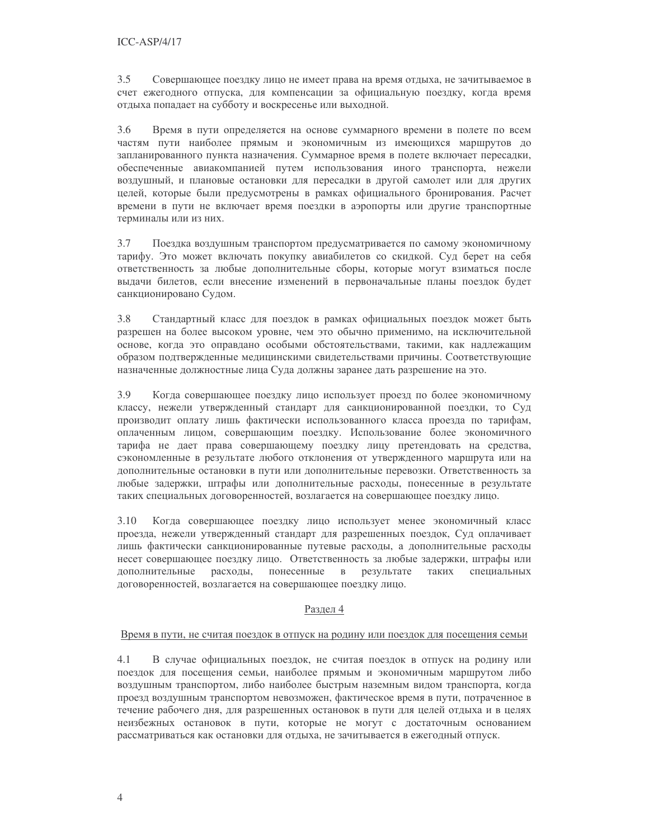$3.5$ Совершающее поездку лицо не имеет права на время отдыха, не зачитываемое в счет ежегодного отпуска, для компенсации за официальную поездку, когда время отдыха попадает на субботу и воскресенье или выходной.

3.6 Время в пути определяется на основе суммарного времени в полете по всем частям пути наиболее прямым и экономичным из имеющихся маршрутов до запланированного пункта назначения. Суммарное время в полете включает пересадки, обеспеченные авиакомпанией путем использования иного транспорта, нежели воздушный, и плановые остановки для пересадки в другой самолет или для других целей, которые были предусмотрены в рамках официального бронирования. Расчет времени в пути не включает время поездки в аэропорты или другие транспортные терминалы или из них.

3.7 Поездка воздушным транспортом предусматривается по самому экономичному тарифу. Это может включать покупку авиабилетов со скидкой. Суд берет на себя ответственность за любые дополнительные сборы, которые могут взиматься после выдачи билетов, если внесение изменений в первоначальные планы поездок будет санкционировано Судом.

3.8 Стандартный класс для поездок в рамках официальных поездок может быть разрешен на более высоком уровне, чем это обычно применимо, на исключительной основе, когда это оправдано особыми обстоятельствами, такими, как надлежащим образом подтвержденные медицинскими свидетельствами причины. Соответствующие назначенные должностные лица Суда должны заранее дать разрешение на это.

3.9 Когда совершающее поездку лицо использует проезд по более экономичному классу, нежели утвержденный стандарт для санкционированной поездки, то Суд производит оплату лишь фактически использованного класса проезда по тарифам, оплаченным лицом, совершающим поездку. Использование более экономичного тарифа не дает права совершающему поездку лицу претендовать на средства, сэкономленные в результате любого отклонения от утвержденного маршрута или на дополнительные остановки в пути или дополнительные перевозки. Ответственность за любые задержки, штрафы или дополнительные расходы, понесенные в результате таких специальных договоренностей, возлагается на совершающее поездку лицо.

3.10 Когда совершающее поездку лицо использует менее экономичный класс проезда, нежели утвержденный стандарт для разрешенных поездок, Суд оплачивает лишь фактически санкционированные путевые расходы, а дополнительные расходы несет совершающее поездку лицо. Ответственность за любые задержки, штрафы или дополнительные расходы, понесенные в результате таких специальных договоренностей, возлагается на совершающее поездку лицо.

# Раздел 4

#### Время в пути, не считая поездок в отпуск на родину или поездок для посещения семьи

В случае официальных поездок, не считая поездок в отпуск на родину или 4.1 поездок для посещения семьи, наиболее прямым и экономичным маршрутом либо воздушным транспортом, либо наиболее быстрым наземным видом транспорта, когда проезд воздушным транспортом невозможен, фактическое время в пути, потраченное в течение рабочего дня, для разрешенных остановок в пути для целей отдыха и в целях неизбежных остановок в пути, которые не могут с достаточным основанием рассматриваться как остановки для отдыха, не зачитывается в ежегодный отпуск.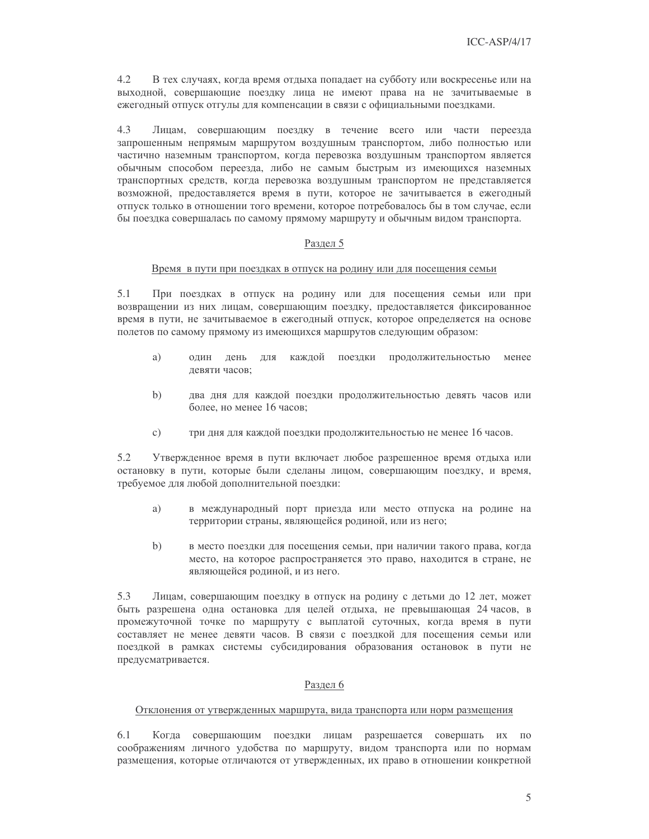4.2 В тех случаях, когда время отдыха попадает на субботу или воскресенье или на выходной, совершающие поездку лица не имеют права на не зачитываемые в ежегодный отпуск отгулы для компенсации в связи с официальными поездками.

 $4.3$ Лицам, совершающим поездку в течение всего или части переезда запрошенным непрямым маршрутом воздушным транспортом, либо полностью или частично наземным транспортом, когда перевозка воздушным транспортом является обычным способом переезда, либо не самым быстрым из имеющихся наземных транспортных средств, когда перевозка воздушным транспортом не представляется возможной, предоставляется время в пути, которое не зачитывается в ежегодный отпуск только в отношении того времени, которое потребовалось бы в том случае, если бы поездка совершалась по самому прямому маршруту и обычным видом транспорта.

# Разлел 5

#### Время в пути при поездках в отпуск на родину или для посещения семьи

 $5.1$ При поездках в отпуск на родину или для посещения семьи или при возвращении из них лицам, совершающим поездку, предоставляется фиксированное время в пути, не зачитываемое в ежегодный отпуск, которое определяется на основе полетов по самому прямому из имеющихся маршрутов следующим образом:

- a) олин день ЛЛЯ каждой поездки продолжительностью менее девяти часов:
- $\mathbf{b}$ два дня для каждой поездки продолжительностью девять часов или более, но менее 16 часов;
- три дня для каждой поездки продолжительностью не менее 16 часов.  $\mathbf{c})$

 $5.2$ Утвержденное время в пути включает любое разрешенное время отдыха или остановку в пути, которые были сделаны лицом, совершающим поездку, и время, требуемое для любой дополнительной поездки:

- в международный порт приезда или место отпуска на родине на a) территории страны, являющейся родиной, или из него;
- $b)$ в место поездки для посещения семьи, при наличии такого права, когда место, на которое распространяется это право, находится в стране, не являющейся родиной, и из него.

5.3 Лицам, совершающим поездку в отпуск на родину с детьми до 12 лет, может быть разрешена одна остановка для целей отдыха, не превышающая 24 часов, в промежуточной точке по маршруту с выплатой суточных, когда время в пути составляет не менее девяти часов. В связи с поездкой для посещения семьи или поездкой в рамках системы субсидирования образования остановок в пути не предусматривается.

#### Раздел 6

#### Отклонения от утвержденных маршрута, вида транспорта или норм размещения

6.1 Когда совершающим поездки лицам разрешается совершать их по соображениям личного удобства по маршруту, видом транспорта или по нормам размещения, которые отличаются от утвержденных, их право в отношении конкретной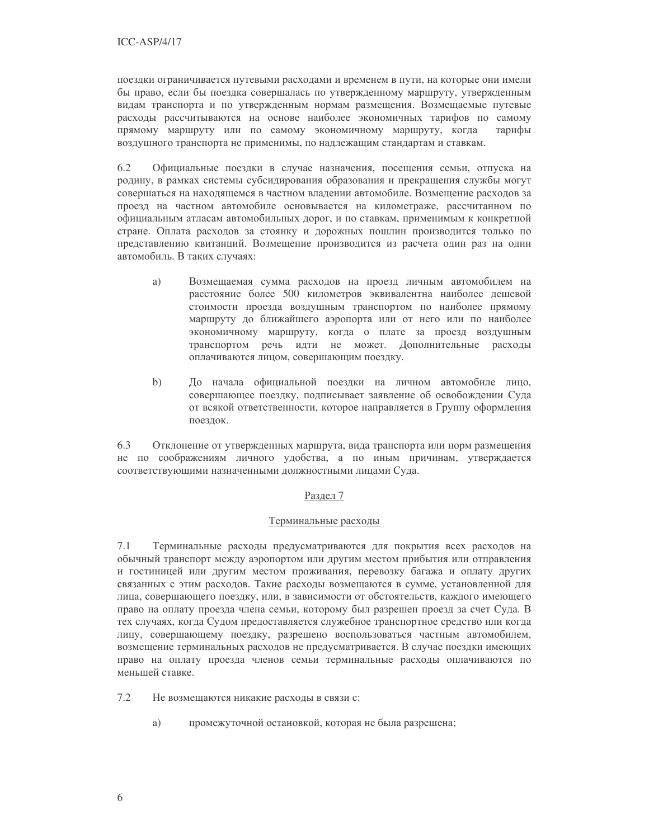поездки ограничивается путевыми расходами и временем в пути, на которые они имели бы право, если бы поездка совершалась по утвержденному маршруту, утвержденным видам транспорта и по утвержденным нормам размещения. Возмещаемые путевые расходы рассчитываются на основе наиболее экономичных тарифов по самому прямому маршруту или по самому экономичному маршруту, когда тарифы воздушного транспорта не применимы, по надлежащим стандартам и ставкам.

6.2 Официальные поездки в случае назначения, посещения семьи, отпуска на родину, в рамках системы субсидирования образования и прекращения службы могут совершаться на находящемся в частном владении автомобиле. Возмещение расходов за проезд на частном автомобиле основывается на километраже, рассчитанном по официальным атласам автомобильных дорог, и по ставкам, применимым к конкретной стране. Оплата расходов за стоянку и дорожных пошлин производится только по представлению квитанций. Возмещение производится из расчета один раз на один автомобиль. В таких случаях:

- a) Возмещаемая сумма расходов на проезд личным автомобилем на расстояние более 500 километров эквивалентна наиболее дешевой стоимости проезда воздушным транспортом по наиболее прямому маршруту до ближайшего аэропорта или от него или по наиболее экономичному маршруту, когда о плате за проезд воздушным транспортом речь идти не может. Дополнительные расходы оплачиваются лицом, совершающим поездку.
- $b)$ До начала официальной поездки на личном автомобиле лицо, совершающее поездку, подписывает заявление об освобождении Суда от всякой ответственности, которое направляется в Группу оформления поездок.

6.3 Отклонение от утвержденных маршрута, вида транспорта или норм размещения не по соображениям личного удобства, а по иным причинам, утверждается соответствующими назначенными должностными лицами Суда.

# Раздел 7

# Терминальные расходы

 $7.1$ Терминальные расходы предусматриваются для покрытия всех расходов на обычный транспорт между аэропортом или другим местом прибытия или отправления и гостиницей или другим местом проживания, перевозку багажа и оплату других связанных с этим расходов. Такие расходы возмещаются в сумме, установленной для лица, совершающего поездку, или, в зависимости от обстоятельств, каждого имеющего право на оплату проезда члена семьи, которому был разрешен проезд за счет Суда. В тех случаях, когда Судом предоставляется служебное транспортное средство или когда лицу, совершающему поездку, разрешено воспользоваться частным автомобилем, возмещение терминальных расходов не предусматривается. В случае поездки имеющих право на оплату проезда членов семьи терминальные расходы оплачиваются по меньшей ставке.

Не возмещаются никакие расходы в связи с:  $7.2$ 

> a) промежуточной остановкой, которая не была разрешена;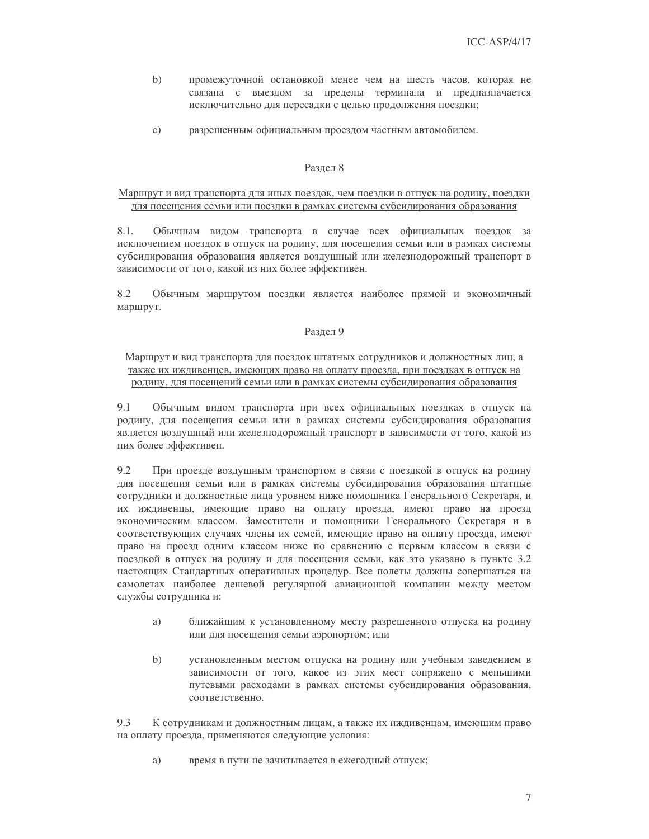- промежуточной остановкой менее чем на шесть часов, которая не  $b)$ связана с выездом за пределы терминала и предназначается исключительно для пересадки с целью продолжения поездки;
- $\mathcal{C}$ ) разрешенным официальным проездом частным автомобилем.

# Раздел 8

# Маршрут и вид транспорта для иных поездок, чем поездки в отпуск на родину, поездки для посещения семьи или поездки в рамках системы субсидирования образования

 $8.1$ Обычным видом транспорта в случае всех официальных поездок за исключением поездок в отпуск на родину, для посещения семьи или в рамках системы субсидирования образования является воздушный или железнодорожный транспорт в зависимости от того, какой из них более эффективен.

8.2 Обычным маршрутом поездки является наиболее прямой и экономичный маршрут.

# Раздел 9

### Маршрут и вид транспорта для поездок штатных сотрудников и должностных лиц, а также их иждивенцев, имеющих право на оплату проезда, при поездках в отпуск на родину, для посещений семьи или в рамках системы субсидирования образования

 $9.1$ Обычным видом транспорта при всех официальных поездках в отпуск на родину, для посещения семьи или в рамках системы субсидирования образования является воздушный или железнодорожный транспорт в зависимости от того, какой из них более эффективен.

9.2 При проезде воздушным транспортом в связи с поездкой в отпуск на родину для посещения семьи или в рамках системы субсидирования образования штатные сотрудники и должностные лица уровнем ниже помощника Генерального Секретаря, и их иждивенцы, имеющие право на оплату проезда, имеют право на проезд экономическим классом. Заместители и помощники Генерального Секретаря и в соответствующих случаях члены их семей, имеющие право на оплату проезда, имеют право на проезд одним классом ниже по сравнению с первым классом в связи с поездкой в отпуск на родину и для посещения семьи, как это указано в пункте 3.2 настоящих Стандартных оперативных процедур. Все полеты должны совершаться на самолетах наиболее дешевой регулярной авиационной компании между местом службы сотрудника и:

- a) ближайшим к установленному месту разрешенного отпуска на родину или для посещения семьи аэропортом; или
- $b)$ установленным местом отпуска на родину или учебным заведением в зависимости от того, какое из этих мест сопряжено с меньшими путевыми расходами в рамках системы субсидирования образования, соответственно.

 $9.3$ К сотрудникам и должностным лицам, а также их иждивенцам, имеющим право на оплату проезда, применяются следующие условия:

a) время в пути не зачитывается в ежегодный отпуск;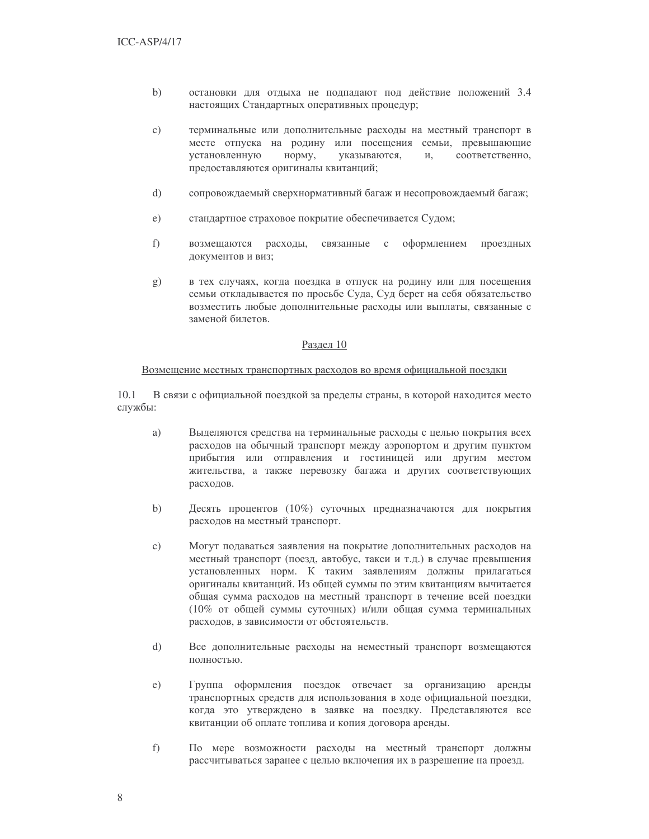- $b)$ остановки для отдыха не подпадают под действие положений 3.4 настоящих Стандартных оперативных процедур;
- $c)$ терминальные или дополнительные расходы на местный транспорт в месте отпуска на родину или посещения семьи, превышающие установленную норму, указываются, И, соответственно, предоставляются оригиналы квитанций;
- $d)$ сопровождаемый сверхнормативный багаж и несопровождаемый багаж;
- $e)$ стандартное страховое покрытие обеспечивается Судом;
- $f$ ) возмещаются расходы, связанные  $\rm c$ оформлением проездных документов и виз;
- в тех случаях, когда поездка в отпуск на родину или для посещения  $g)$ семьи откладывается по просьбе Суда, Суд берет на себя обязательство возместить любые дополнительные расходы или выплаты, связанные с заменой билетов.

#### Раздел 10

#### Возмещение местных транспортных расходов во время официальной поездки

 $10.1$ В связи с официальной поездкой за пределы страны, в которой находится место службы:

- a) Выделяются средства на терминальные расходы с целью покрытия всех расходов на обычный транспорт между аэропортом и другим пунктом прибытия или отправления и гостиницей или другим местом жительства, а также перевозку багажа и других соответствующих расходов.
- $b)$ Десять процентов (10%) суточных предназначаются для покрытия расходов на местный транспорт.
- $c)$ Могут подаваться заявления на покрытие дополнительных расходов на местный транспорт (поезд, автобус, такси и т.д.) в случае превышения установленных норм. К таким заявлениям должны прилагаться оригиналы квитанций. Из общей суммы по этим квитанциям вычитается общая сумма расходов на местный транспорт в течение всей поездки (10% от общей суммы суточных) и/или общая сумма терминальных расходов, в зависимости от обстоятельств.
- $\mathrm{d}$ Все дополнительные расходы на неместный транспорт возмещаются полностью.
- $e)$ Группа оформления поездок отвечает за организацию аренды транспортных средств для использования в ходе официальной поездки, когда это утверждено в заявке на поездку. Представляются все квитанции об оплате топлива и копия договора аренды.
- $f$ По мере возможности расходы на местный транспорт должны рассчитываться заранее с целью включения их в разрешение на проезд.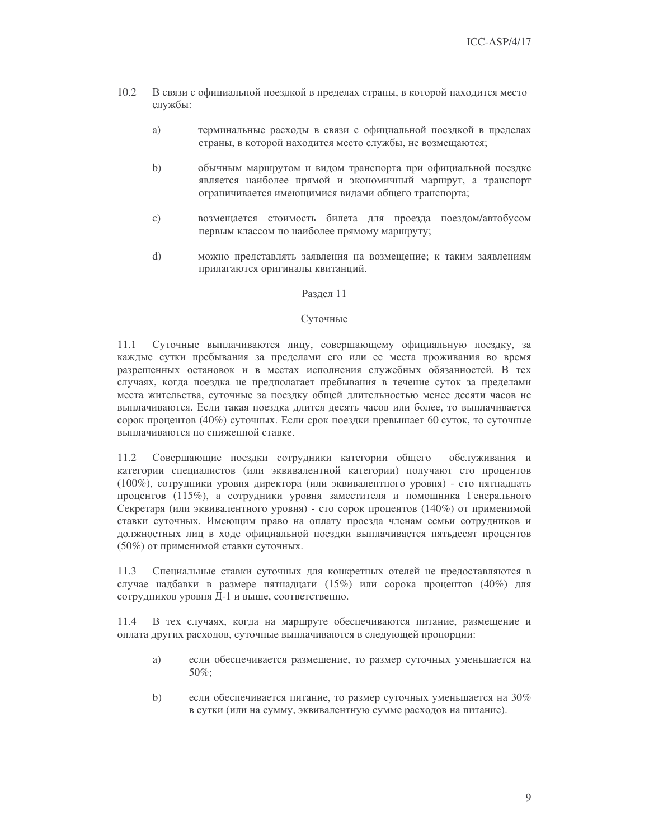- $10.2$ В связи с официальной поездкой в пределах страны, в которой находится место службы:
	- a) терминальные расходы в связи с официальной поездкой в пределах страны, в которой находится место службы, не возмещаются;
	- $b)$ обычным маршрутом и видом транспорта при официальной поездке является наиболее прямой и экономичный маршрут, а транспорт ограничивается имеющимися видами общего транспорта;
	- $\mathcal{C}$ ) возмещается стоимость билета для проезда поездом/автобусом первым классом по наиболее прямому маршруту;
	- $\mathrm{d}$ можно представлять заявления на возмещение; к таким заявлениям прилагаются оригиналы квитанций.

# Разлел 11

#### Суточные

 $11.1$ Суточные выплачиваются лицу, совершающему официальную поездку, за каждые сутки пребывания за пределами его или ее места проживания во время разрешенных остановок и в местах исполнения служебных обязанностей. В тех случаях, когда поездка не предполагает пребывания в течение суток за пределами места жительства, суточные за поездку общей длительностью менее десяти часов не выплачиваются. Если такая поездка длится десять часов или более, то выплачивается сорок процентов (40%) суточных. Если срок поездки превышает 60 суток, то суточные выплачиваются по сниженной ставке.

11.2 Совершающие поездки сотрудники категории общего обслуживания и категории специалистов (или эквивалентной категории) получают сто процентов (100%), сотрудники уровня директора (или эквивалентного уровня) - сто пятнадцать процентов (115%), а сотрудники уровня заместителя и помощника Генерального Секретаря (или эквивалентного уровня) - сто сорок процентов (140%) от применимой ставки суточных. Имеющим право на оплату проезда членам семьи сотрудников и должностных лиц в ходе официальной поездки выплачивается пятьдесят процентов (50%) от применимой ставки суточных.

11.3 Специальные ставки суточных для конкретных отелей не предоставляются в случае надбавки в размере пятнадцати (15%) или сорока процентов (40%) для сотрудников уровня Д-1 и выше, соответственно.

В тех случаях, когда на маршруте обеспечиваются питание, размещение и 11.4 оплата других расходов, суточные выплачиваются в следующей пропорции:

- a) если обеспечивается размещение, то размер суточных уменьшается на  $50\%$ :
- $b)$ если обеспечивается питание, то размер суточных уменьшается на 30% в сутки (или на сумму, эквивалентную сумме расходов на питание).